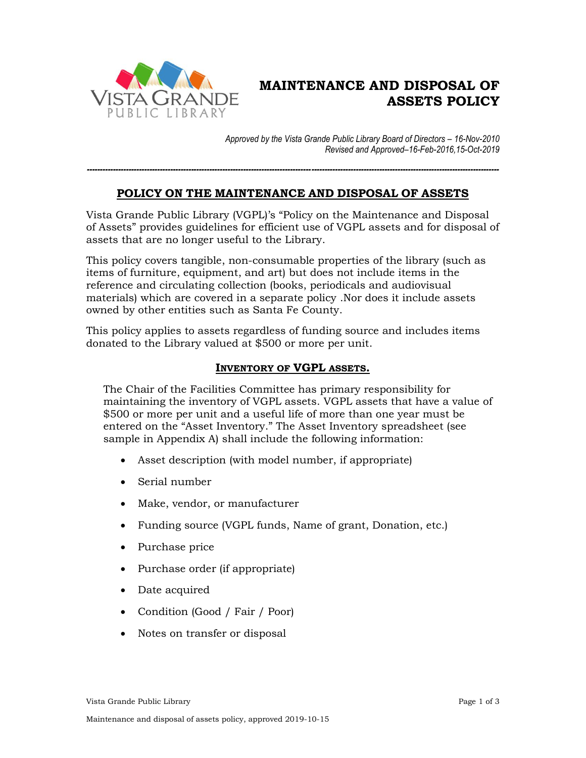

# **MAINTENANCE AND DISPOSAL OF ASSETS POLICY**

*Approved by the Vista Grande Public Library Board of Directors – 16-Nov-2010 Revised and Approved–16-Feb-2016,15-Oct-2019*

# **POLICY ON THE MAINTENANCE AND DISPOSAL OF ASSETS**

*--------------------------------------------------------------------------------------------------------------------------------------------------------------*

Vista Grande Public Library (VGPL)'s "Policy on the Maintenance and Disposal of Assets" provides guidelines for efficient use of VGPL assets and for disposal of assets that are no longer useful to the Library.

This policy covers tangible, non-consumable properties of the library (such as items of furniture, equipment, and art) but does not include items in the reference and circulating collection (books, periodicals and audiovisual materials) which are covered in a separate policy .Nor does it include assets owned by other entities such as Santa Fe County.

This policy applies to assets regardless of funding source and includes items donated to the Library valued at \$500 or more per unit.

## **INVENTORY OF VGPL ASSETS.**

The Chair of the Facilities Committee has primary responsibility for maintaining the inventory of VGPL assets. VGPL assets that have a value of \$500 or more per unit and a useful life of more than one year must be entered on the "Asset Inventory." The Asset Inventory spreadsheet (see sample in Appendix A) shall include the following information:

- Asset description (with model number, if appropriate)
- Serial number
- Make, vendor, or manufacturer
- Funding source (VGPL funds, Name of grant, Donation, etc.)
- Purchase price
- Purchase order (if appropriate)
- Date acquired
- Condition (Good / Fair / Poor)
- Notes on transfer or disposal

Vista Grande Public Library Page 1 of 3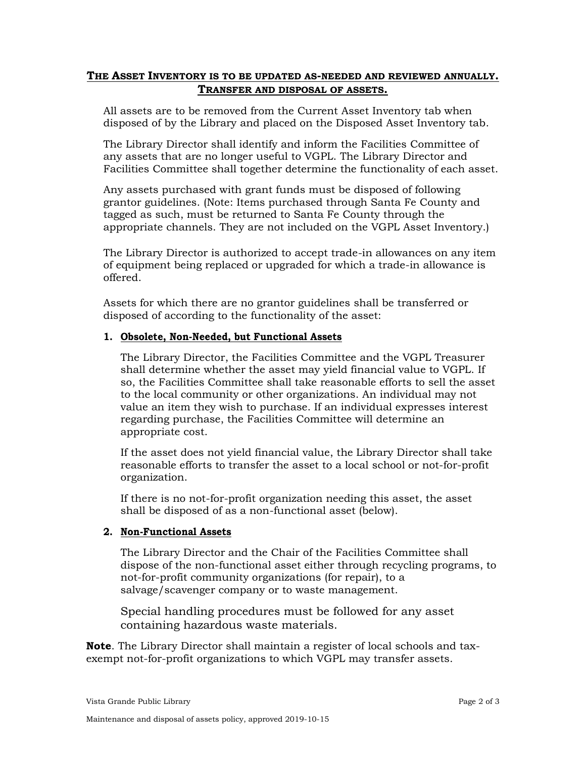### **THE ASSET INVENTORY IS TO BE UPDATED AS-NEEDED AND REVIEWED ANNUALLY. TRANSFER AND DISPOSAL OF ASSETS.**

All assets are to be removed from the Current Asset Inventory tab when disposed of by the Library and placed on the Disposed Asset Inventory tab.

The Library Director shall identify and inform the Facilities Committee of any assets that are no longer useful to VGPL. The Library Director and Facilities Committee shall together determine the functionality of each asset.

Any assets purchased with grant funds must be disposed of following grantor guidelines. (Note: Items purchased through Santa Fe County and tagged as such, must be returned to Santa Fe County through the appropriate channels. They are not included on the VGPL Asset Inventory.)

The Library Director is authorized to accept trade-in allowances on any item of equipment being replaced or upgraded for which a trade-in allowance is offered.

Assets for which there are no grantor guidelines shall be transferred or disposed of according to the functionality of the asset:

#### **1. Obsolete, Non-Needed, but Functional Assets**

The Library Director, the Facilities Committee and the VGPL Treasurer shall determine whether the asset may yield financial value to VGPL. If so, the Facilities Committee shall take reasonable efforts to sell the asset to the local community or other organizations. An individual may not value an item they wish to purchase. If an individual expresses interest regarding purchase, the Facilities Committee will determine an appropriate cost.

If the asset does not yield financial value, the Library Director shall take reasonable efforts to transfer the asset to a local school or not-for-profit organization.

If there is no not-for-profit organization needing this asset, the asset shall be disposed of as a non-functional asset (below).

#### **2. Non-Functional Assets**

The Library Director and the Chair of the Facilities Committee shall dispose of the non-functional asset either through recycling programs, to not-for-profit community organizations (for repair), to a salvage/scavenger company or to waste management.

Special handling procedures must be followed for any asset containing hazardous waste materials.

**Note**. The Library Director shall maintain a register of local schools and taxexempt not-for-profit organizations to which VGPL may transfer assets.